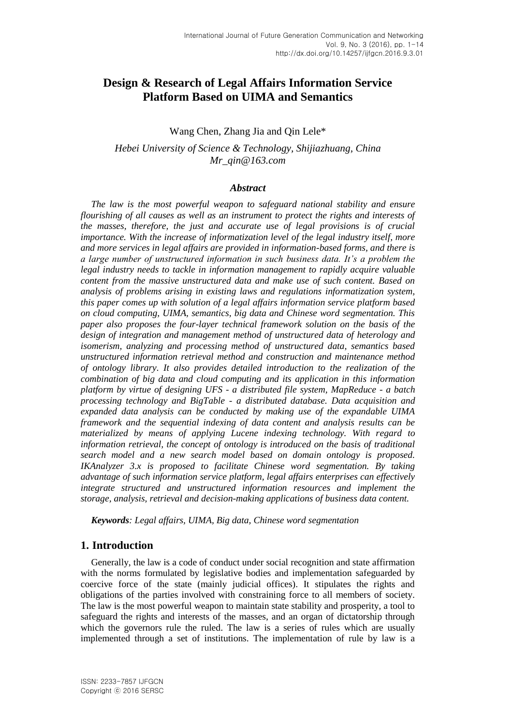# **Design & Research of Legal Affairs Information Service Platform Based on UIMA and Semantics**

## Wang Chen, Zhang Jia and Qin Lele\*

# *Hebei University of Science & Technology, Shijiazhuang, China Mr\_qin@163.com*

#### *Abstract*

*The law is the most powerful weapon to safeguard national stability and ensure flourishing of all causes as well as an instrument to protect the rights and interests of the masses, therefore, the just and accurate use of legal provisions is of crucial importance. With the increase of informatization level of the legal industry itself, more and more services in legal affairs are provided in information-based forms, and there is a large number of unstructured information in such business data. It's a problem the legal industry needs to tackle in information management to rapidly acquire valuable content from the massive unstructured data and make use of such content. Based on analysis of problems arising in existing laws and regulations informatization system, this paper comes up with solution of a legal affairs information service platform based on cloud computing, UIMA, semantics, big data and Chinese word segmentation. This paper also proposes the four-layer technical framework solution on the basis of the design of integration and management method of unstructured data of heterology and isomerism, analyzing and processing method of unstructured data, semantics based unstructured information retrieval method and construction and maintenance method of ontology library. It also provides detailed introduction to the realization of the combination of big data and cloud computing and its application in this information platform by virtue of designing UFS - a distributed file system, MapReduce - a batch processing technology and BigTable - a distributed database. Data acquisition and expanded data analysis can be conducted by making use of the expandable UIMA framework and the sequential indexing of data content and analysis results can be materialized by means of applying Lucene indexing technology. With regard to information retrieval, the concept of ontology is introduced on the basis of traditional search model and a new search model based on domain ontology is proposed. IKAnalyzer 3.x is proposed to facilitate Chinese word segmentation. By taking advantage of such information service platform, legal affairs enterprises can effectively integrate structured and unstructured information resources and implement the storage, analysis, retrieval and decision-making applications of business data content.*

*Keywords: Legal affairs, UIMA, Big data, Chinese word segmentation*

# **1. Introduction**

Generally, the law is a code of conduct under social recognition and state affirmation with the norms formulated by legislative bodies and implementation safeguarded by coercive force of the state (mainly judicial offices). It stipulates the rights and obligations of the parties involved with constraining force to all members of society. The law is the most powerful weapon to maintain state stability and prosperity, a tool to safeguard the rights and interests of the masses, and an organ of dictatorship through which the governors rule the ruled. The law is a series of rules which are usually implemented through a set of institutions. The implementation of rule by law is a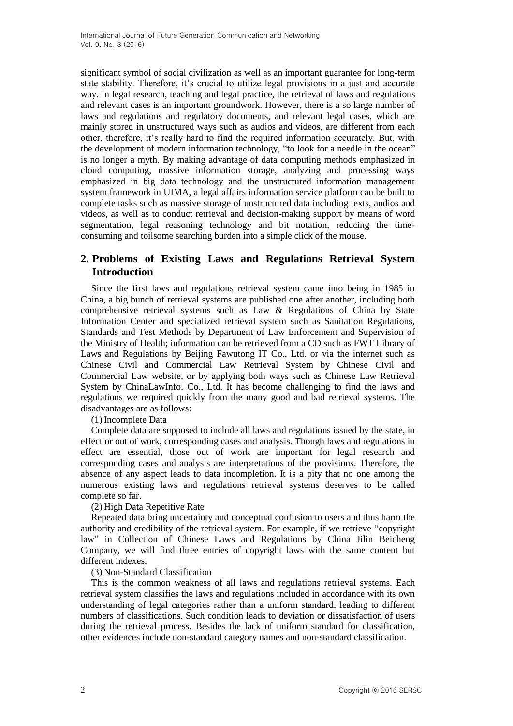significant symbol of social civilization as well as an important guarantee for long-term state stability. Therefore, it's crucial to utilize legal provisions in a just and accurate way. In legal research, teaching and legal practice, the retrieval of laws and regulations and relevant cases is an important groundwork. However, there is a so large number of laws and regulations and regulatory documents, and relevant legal cases, which are mainly stored in unstructured ways such as audios and videos, are different from each other, therefore, it's really hard to find the required information accurately. But, with the development of modern information technology, "to look for a needle in the ocean" is no longer a myth. By making advantage of data computing methods emphasized in cloud computing, massive information storage, analyzing and processing ways emphasized in big data technology and the unstructured information management system framework in UIMA, a legal affairs information service platform can be built to complete tasks such as massive storage of unstructured data including texts, audios and videos, as well as to conduct retrieval and decision-making support by means of word segmentation, legal reasoning technology and bit notation, reducing the timeconsuming and toilsome searching burden into a simple click of the mouse.

# **2. Problems of Existing Laws and Regulations Retrieval System Introduction**

Since the first laws and regulations retrieval system came into being in 1985 in China, a big bunch of retrieval systems are published one after another, including both comprehensive retrieval systems such as Law & Regulations of China by State Information Center and specialized retrieval system such as Sanitation Regulations, Standards and Test Methods by Department of Law Enforcement and Supervision of the Ministry of Health; information can be retrieved from a CD such as FWT Library of Laws and Regulations by Beijing Fawutong IT Co., Ltd. or via the internet such as Chinese Civil and Commercial Law Retrieval System by Chinese Civil and Commercial Law website, or by applying both ways such as Chinese Law Retrieval System by ChinaLawInfo. Co., Ltd. It has become challenging to find the laws and regulations we required quickly from the many good and bad retrieval systems. The disadvantages are as follows:

(1) Incomplete Data

Complete data are supposed to include all laws and regulations issued by the state, in effect or out of work, corresponding cases and analysis. Though laws and regulations in effect are essential, those out of work are important for legal research and corresponding cases and analysis are interpretations of the provisions. Therefore, the absence of any aspect leads to data incompletion. It is a pity that no one among the numerous existing laws and regulations retrieval systems deserves to be called complete so far.

(2) High Data Repetitive Rate

Repeated data bring uncertainty and conceptual confusion to users and thus harm the authority and credibility of the retrieval system. For example, if we retrieve "copyright law" in Collection of Chinese Laws and Regulations by China Jilin Beicheng Company, we will find three entries of copyright laws with the same content but different indexes.

(3) Non-Standard Classification

This is the common weakness of all laws and regulations retrieval systems. Each retrieval system classifies the laws and regulations included in accordance with its own understanding of legal categories rather than a uniform standard, leading to different numbers of classifications. Such condition leads to deviation or dissatisfaction of users during the retrieval process. Besides the lack of uniform standard for classification, other evidences include non-standard category names and non-standard classification.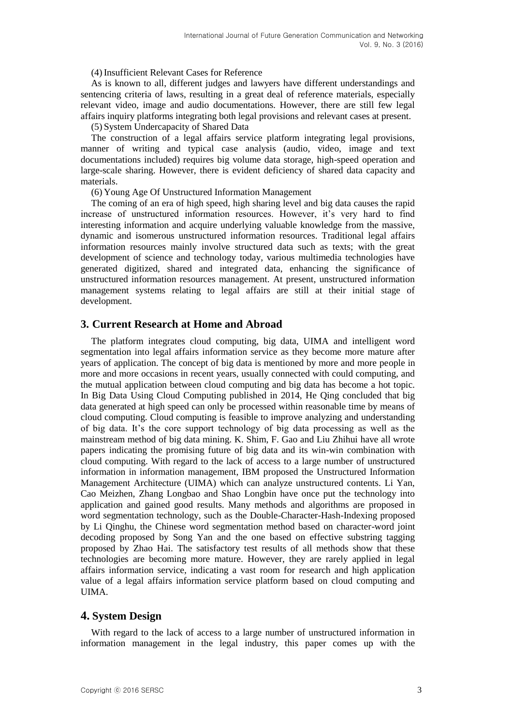#### (4) Insufficient Relevant Cases for Reference

As is known to all, different judges and lawyers have different understandings and sentencing criteria of laws, resulting in a great deal of reference materials, especially relevant video, image and audio documentations. However, there are still few legal affairs inquiry platforms integrating both legal provisions and relevant cases at present.

(5) System Undercapacity of Shared Data

The construction of a legal affairs service platform integrating legal provisions, manner of writing and typical case analysis (audio, video, image and text documentations included) requires big volume data storage, high-speed operation and large-scale sharing. However, there is evident deficiency of shared data capacity and materials.

(6) Young Age Of Unstructured Information Management

The coming of an era of high speed, high sharing level and big data causes the rapid increase of unstructured information resources. However, it's very hard to find interesting information and acquire underlying valuable knowledge from the massive, dynamic and isomerous unstructured information resources. Traditional legal affairs information resources mainly involve structured data such as texts; with the great development of science and technology today, various multimedia technologies have generated digitized, shared and integrated data, enhancing the significance of unstructured information resources management. At present, unstructured information management systems relating to legal affairs are still at their initial stage of development.

# **3. Current Research at Home and Abroad**

The platform integrates cloud computing, big data, UIMA and intelligent word segmentation into legal affairs information service as they become more mature after years of application. The concept of big data is mentioned by more and more people in more and more occasions in recent years, usually connected with could computing, and the mutual application between cloud computing and big data has become a hot topic. In Big Data Using Cloud Computing published in 2014, He Qing concluded that big data generated at high speed can only be processed within reasonable time by means of cloud computing. Cloud computing is feasible to improve analyzing and understanding of big data. It's the core support technology of big data processing as well as the mainstream method of big data mining. K. Shim, F. Gao and Liu Zhihui have all wrote papers indicating the promising future of big data and its win-win combination with cloud computing. With regard to the lack of access to a large number of unstructured information in information management, IBM proposed the Unstructured Information Management Architecture (UIMA) which can analyze unstructured contents. Li Yan, Cao Meizhen, Zhang Longbao and Shao Longbin have once put the technology into application and gained good results. Many methods and algorithms are proposed in word segmentation technology, such as the Double-Character-Hash-Indexing proposed by Li Qinghu, the Chinese word segmentation method based on character-word joint decoding proposed by Song Yan and the one based on effective substring tagging proposed by Zhao Hai. The satisfactory test results of all methods show that these technologies are becoming more mature. However, they are rarely applied in legal affairs information service, indicating a vast room for research and high application value of a legal affairs information service platform based on cloud computing and **I**IMA

# **4. System Design**

With regard to the lack of access to a large number of unstructured information in information management in the legal industry, this paper comes up with the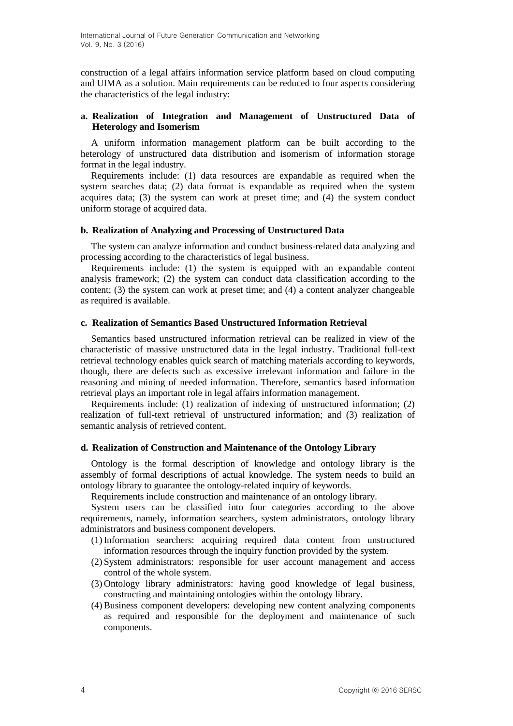construction of a legal affairs information service platform based on cloud computing and UIMA as a solution. Main requirements can be reduced to four aspects considering the characteristics of the legal industry:

#### **a. Realization of Integration and Management of Unstructured Data of Heterology and Isomerism**

A uniform information management platform can be built according to the heterology of unstructured data distribution and isomerism of information storage format in the legal industry.

Requirements include: (1) data resources are expandable as required when the system searches data; (2) data format is expandable as required when the system acquires data; (3) the system can work at preset time; and (4) the system conduct uniform storage of acquired data.

#### **b. Realization of Analyzing and Processing of Unstructured Data**

The system can analyze information and conduct business-related data analyzing and processing according to the characteristics of legal business.

Requirements include: (1) the system is equipped with an expandable content analysis framework; (2) the system can conduct data classification according to the content; (3) the system can work at preset time; and (4) a content analyzer changeable as required is available.

#### **c. Realization of Semantics Based Unstructured Information Retrieval**

Semantics based unstructured information retrieval can be realized in view of the characteristic of massive unstructured data in the legal industry. Traditional full-text retrieval technology enables quick search of matching materials according to keywords, though, there are defects such as excessive irrelevant information and failure in the reasoning and mining of needed information. Therefore, semantics based information retrieval plays an important role in legal affairs information management.

Requirements include: (1) realization of indexing of unstructured information; (2) realization of full-text retrieval of unstructured information; and (3) realization of semantic analysis of retrieved content.

#### **d. Realization of Construction and Maintenance of the Ontology Library**

Ontology is the formal description of knowledge and ontology library is the assembly of formal descriptions of actual knowledge. The system needs to build an ontology library to guarantee the ontology-related inquiry of keywords.

Requirements include construction and maintenance of an ontology library.

System users can be classified into four categories according to the above requirements, namely, information searchers, system administrators, ontology library administrators and business component developers.

- (1) Information searchers: acquiring required data content from unstructured information resources through the inquiry function provided by the system.
- (2) System administrators: responsible for user account management and access control of the whole system.
- (3) Ontology library administrators: having good knowledge of legal business, constructing and maintaining ontologies within the ontology library.
- (4) Business component developers: developing new content analyzing components as required and responsible for the deployment and maintenance of such components.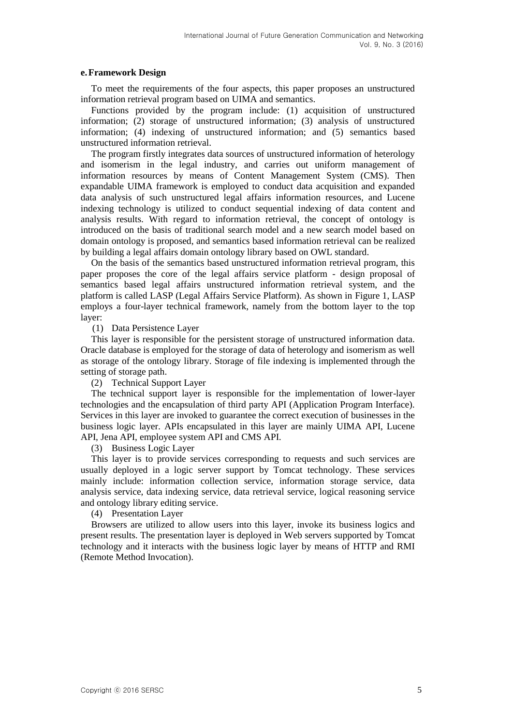#### **e.Framework Design**

To meet the requirements of the four aspects, this paper proposes an unstructured information retrieval program based on UIMA and semantics.

Functions provided by the program include: (1) acquisition of unstructured information; (2) storage of unstructured information; (3) analysis of unstructured information; (4) indexing of unstructured information; and (5) semantics based unstructured information retrieval.

The program firstly integrates data sources of unstructured information of heterology and isomerism in the legal industry, and carries out uniform management of information resources by means of Content Management System (CMS). Then expandable UIMA framework is employed to conduct data acquisition and expanded data analysis of such unstructured legal affairs information resources, and Lucene indexing technology is utilized to conduct sequential indexing of data content and analysis results. With regard to information retrieval, the concept of ontology is introduced on the basis of traditional search model and a new search model based on domain ontology is proposed, and semantics based information retrieval can be realized by building a legal affairs domain ontology library based on OWL standard.

On the basis of the semantics based unstructured information retrieval program, this paper proposes the core of the legal affairs service platform - design proposal of semantics based legal affairs unstructured information retrieval system, and the platform is called LASP (Legal Affairs Service Platform). As shown in Figure 1, LASP employs a four-layer technical framework, namely from the bottom layer to the top layer:

(1) Data Persistence Layer

This layer is responsible for the persistent storage of unstructured information data. Oracle database is employed for the storage of data of heterology and isomerism as well as storage of the ontology library. Storage of file indexing is implemented through the setting of storage path.

(2) Technical Support Layer

The technical support layer is responsible for the implementation of lower-layer technologies and the encapsulation of third party API (Application Program Interface). Services in this layer are invoked to guarantee the correct execution of businesses in the business logic layer. APIs encapsulated in this layer are mainly UIMA API, Lucene API, Jena API, employee system API and CMS API.

(3) Business Logic Layer

This layer is to provide services corresponding to requests and such services are usually deployed in a logic server support by Tomcat technology. These services mainly include: information collection service, information storage service, data analysis service, data indexing service, data retrieval service, logical reasoning service and ontology library editing service.

(4) Presentation Layer

Browsers are utilized to allow users into this layer, invoke its business logics and present results. The presentation layer is deployed in Web servers supported by Tomcat technology and it interacts with the business logic layer by means of HTTP and RMI (Remote Method Invocation).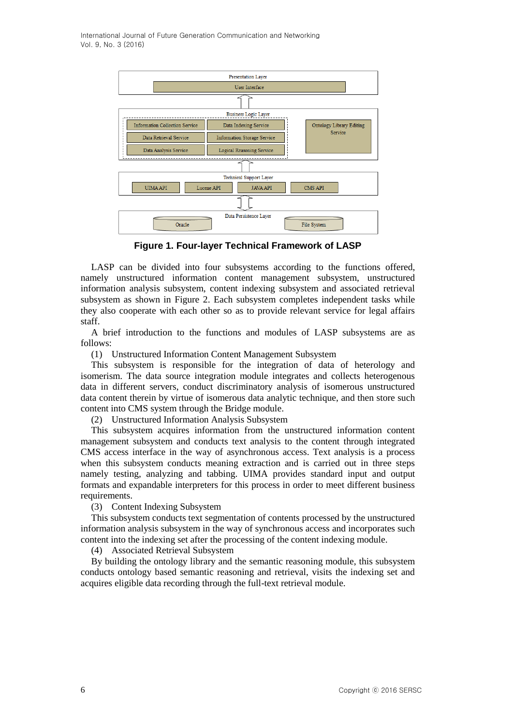International Journal of Future Generation Communication and Networking Vol. 9, No. 3 (2016)



**Figure 1. Four-layer Technical Framework of LASP**

LASP can be divided into four subsystems according to the functions offered, namely unstructured information content management subsystem, unstructured information analysis subsystem, content indexing subsystem and associated retrieval subsystem as shown in Figure 2. Each subsystem completes independent tasks while they also cooperate with each other so as to provide relevant service for legal affairs staff.

A brief introduction to the functions and modules of LASP subsystems are as follows:

(1) Unstructured Information Content Management Subsystem

This subsystem is responsible for the integration of data of heterology and isomerism. The data source integration module integrates and collects heterogenous data in different servers, conduct discriminatory analysis of isomerous unstructured data content therein by virtue of isomerous data analytic technique, and then store such content into CMS system through the Bridge module.

(2) Unstructured Information Analysis Subsystem

This subsystem acquires information from the unstructured information content management subsystem and conducts text analysis to the content through integrated CMS access interface in the way of asynchronous access. Text analysis is a process when this subsystem conducts meaning extraction and is carried out in three steps namely testing, analyzing and tabbing. UIMA provides standard input and output formats and expandable interpreters for this process in order to meet different business requirements.

(3) Content Indexing Subsystem

This subsystem conducts text segmentation of contents processed by the unstructured information analysis subsystem in the way of synchronous access and incorporates such content into the indexing set after the processing of the content indexing module.

(4) Associated Retrieval Subsystem

By building the ontology library and the semantic reasoning module, this subsystem conducts ontology based semantic reasoning and retrieval, visits the indexing set and acquires eligible data recording through the full-text retrieval module.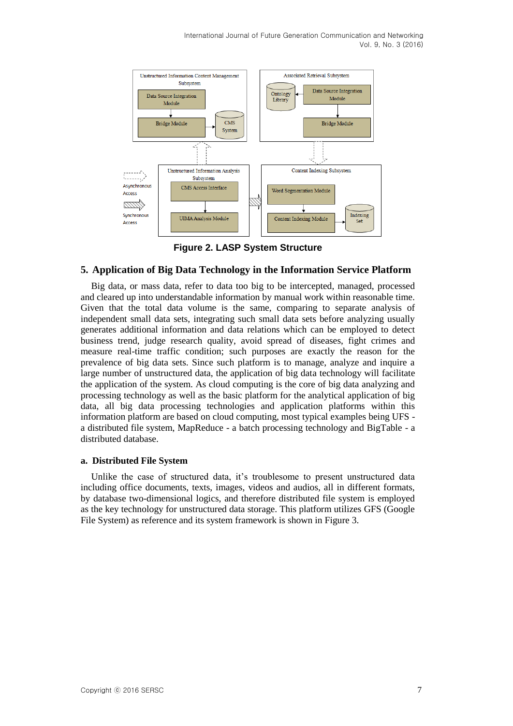

**Figure 2. LASP System Structure**

## **5. Application of Big Data Technology in the Information Service Platform**

Big data, or mass data, refer to data too big to be intercepted, managed, processed and cleared up into understandable information by manual work within reasonable time. Given that the total data volume is the same, comparing to separate analysis of independent small data sets, integrating such small data sets before analyzing usually generates additional information and data relations which can be employed to detect business trend, judge research quality, avoid spread of diseases, fight crimes and measure real-time traffic condition; such purposes are exactly the reason for the prevalence of big data sets. Since such platform is to manage, analyze and inquire a large number of unstructured data, the application of big data technology will facilitate the application of the system. As cloud computing is the core of big data analyzing and processing technology as well as the basic platform for the analytical application of big data, all big data processing technologies and application platforms within this information platform are based on cloud computing, most typical examples being UFS a distributed file system, MapReduce - a batch processing technology and BigTable - a distributed database.

## **a. Distributed File System**

Unlike the case of structured data, it's troublesome to present unstructured data including office documents, texts, images, videos and audios, all in different formats, by database two-dimensional logics, and therefore distributed file system is employed as the key technology for unstructured data storage. This platform utilizes GFS (Google File System) as reference and its system framework is shown in Figure 3.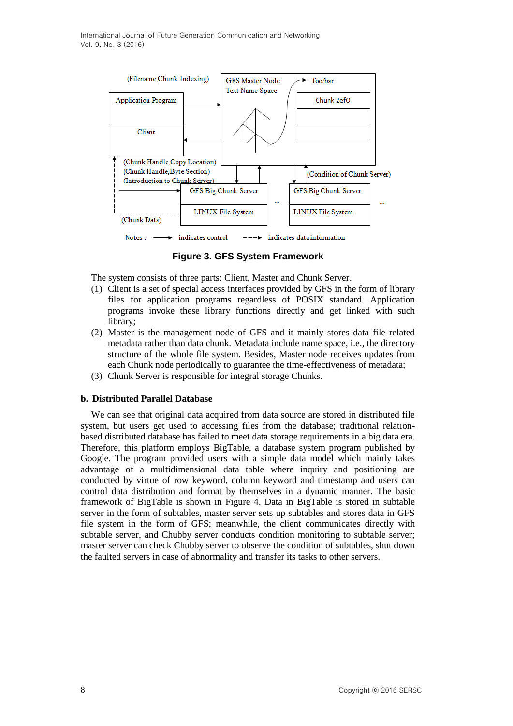

**Figure 3. GFS System Framework**

The system consists of three parts: Client, Master and Chunk Server.

- (1) Client is a set of special access interfaces provided by GFS in the form of library files for application programs regardless of POSIX standard. Application programs invoke these library functions directly and get linked with such library;
- (2) Master is the management node of GFS and it mainly stores data file related metadata rather than data chunk. Metadata include name space, i.e., the directory structure of the whole file system. Besides, Master node receives updates from each Chunk node periodically to guarantee the time-effectiveness of metadata;
- (3) Chunk Server is responsible for integral storage Chunks.

## **b. Distributed Parallel Database**

We can see that original data acquired from data source are stored in distributed file system, but users get used to accessing files from the database; traditional relationbased distributed database has failed to meet data storage requirements in a big data era. Therefore, this platform employs BigTable, a database system program published by Google. The program provided users with a simple data model which mainly takes advantage of a multidimensional data table where inquiry and positioning are conducted by virtue of row keyword, column keyword and timestamp and users can control data distribution and format by themselves in a dynamic manner. The basic framework of BigTable is shown in Figure 4. Data in BigTable is stored in subtable server in the form of subtables, master server sets up subtables and stores data in GFS file system in the form of GFS; meanwhile, the client communicates directly with subtable server, and Chubby server conducts condition monitoring to subtable server; master server can check Chubby server to observe the condition of subtables, shut down the faulted servers in case of abnormality and transfer its tasks to other servers.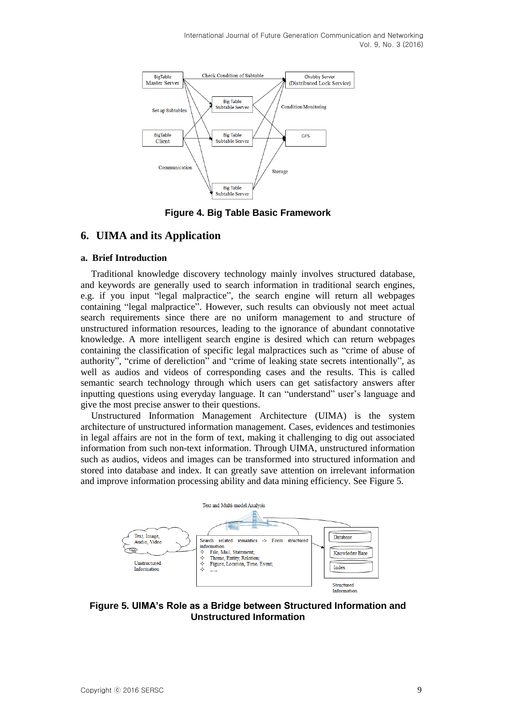

**Figure 4. Big Table Basic Framework**

# **6. UIMA and its Application**

#### **a. Brief Introduction**

Traditional knowledge discovery technology mainly involves structured database, and keywords are generally used to search information in traditional search engines, e.g. if you input "legal malpractice", the search engine will return all webpages containing "legal malpractice". However, such results can obviously not meet actual search requirements since there are no uniform management to and structure of unstructured information resources, leading to the ignorance of abundant connotative knowledge. A more intelligent search engine is desired which can return webpages containing the classification of specific legal malpractices such as "crime of abuse of authority", "crime of dereliction" and "crime of leaking state secrets intentionally", as well as audios and videos of corresponding cases and the results. This is called semantic search technology through which users can get satisfactory answers after inputting questions using everyday language. It can "understand" user's language and give the most precise answer to their questions.

Unstructured Information Management Architecture (UIMA) is the system architecture of unstructured information management. Cases, evidences and testimonies in legal affairs are not in the form of text, making it challenging to dig out associated information from such non-text information. Through UIMA, unstructured information such as audios, videos and images can be transformed into structured information and stored into database and index. It can greatly save attention on irrelevant information and improve information processing ability and data mining efficiency. See Figure 5.



**Figure 5. UIMA's Role as a Bridge between Structured Information and Unstructured Information**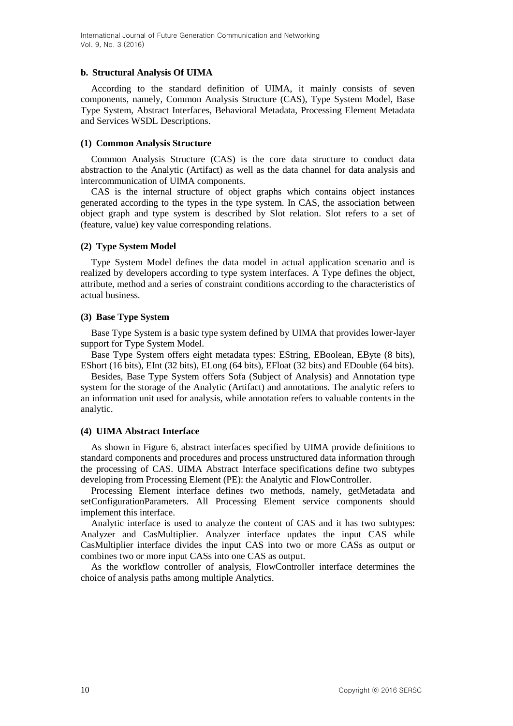#### **b. Structural Analysis Of UIMA**

According to the standard definition of UIMA, it mainly consists of seven components, namely, Common Analysis Structure (CAS), Type System Model, Base Type System, Abstract Interfaces, Behavioral Metadata, Processing Element Metadata and Services WSDL Descriptions.

#### **(1) Common Analysis Structure**

Common Analysis Structure (CAS) is the core data structure to conduct data abstraction to the Analytic (Artifact) as well as the data channel for data analysis and intercommunication of UIMA components.

CAS is the internal structure of object graphs which contains object instances generated according to the types in the type system. In CAS, the association between object graph and type system is described by Slot relation. Slot refers to a set of (feature, value) key value corresponding relations.

## **(2) Type System Model**

Type System Model defines the data model in actual application scenario and is realized by developers according to type system interfaces. A Type defines the object, attribute, method and a series of constraint conditions according to the characteristics of actual business.

## **(3) Base Type System**

Base Type System is a basic type system defined by UIMA that provides lower-layer support for Type System Model.

Base Type System offers eight metadata types: EString, EBoolean, EByte (8 bits), EShort (16 bits), EInt (32 bits), ELong (64 bits), EFloat (32 bits) and EDouble (64 bits).

Besides, Base Type System offers Sofa (Subject of Analysis) and Annotation type system for the storage of the Analytic (Artifact) and annotations. The analytic refers to an information unit used for analysis, while annotation refers to valuable contents in the analytic.

## **(4) UIMA Abstract Interface**

As shown in Figure 6, abstract interfaces specified by UIMA provide definitions to standard components and procedures and process unstructured data information through the processing of CAS. UIMA Abstract Interface specifications define two subtypes developing from Processing Element (PE): the Analytic and FlowController.

Processing Element interface defines two methods, namely, getMetadata and setConfigurationParameters. All Processing Element service components should implement this interface.

Analytic interface is used to analyze the content of CAS and it has two subtypes: Analyzer and CasMultiplier. Analyzer interface updates the input CAS while CasMultiplier interface divides the input CAS into two or more CASs as output or combines two or more input CASs into one CAS as output.

As the workflow controller of analysis, FlowController interface determines the choice of analysis paths among multiple Analytics.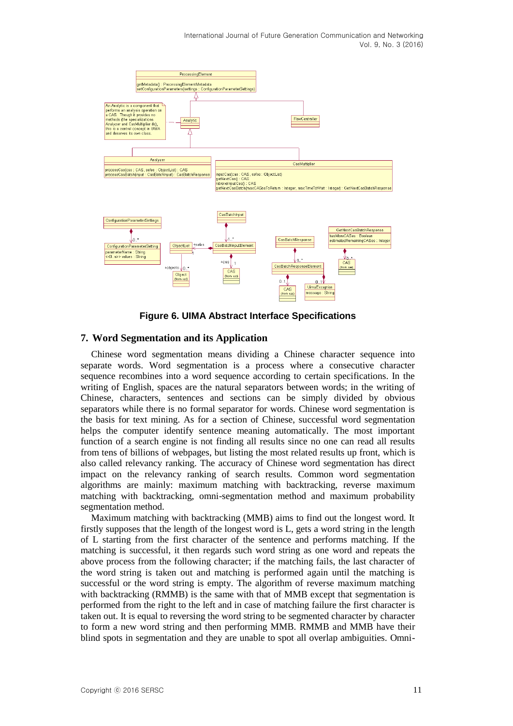International Journal of Future Generation Communication and Networking Vol. 9, No. 3 (2016)



**Figure 6. UIMA Abstract Interface Specifications**

#### **7. Word Segmentation and its Application**

Chinese word segmentation means dividing a Chinese character sequence into separate words. Word segmentation is a process where a consecutive character sequence recombines into a word sequence according to certain specifications. In the writing of English, spaces are the natural separators between words; in the writing of Chinese, characters, sentences and sections can be simply divided by obvious separators while there is no formal separator for words. Chinese word segmentation is the basis for text mining. As for a section of Chinese, successful word segmentation helps the computer identify sentence meaning automatically. The most important function of a search engine is not finding all results since no one can read all results from tens of billions of webpages, but listing the most related results up front, which is also called relevancy ranking. The accuracy of Chinese word segmentation has direct impact on the relevancy ranking of search results. Common word segmentation algorithms are mainly: maximum matching with backtracking, reverse maximum matching with backtracking, omni-segmentation method and maximum probability segmentation method.

Maximum matching with backtracking (MMB) aims to find out the longest word. It firstly supposes that the length of the longest word is L, gets a word string in the length of L starting from the first character of the sentence and performs matching. If the matching is successful, it then regards such word string as one word and repeats the above process from the following character; if the matching fails, the last character of the word string is taken out and matching is performed again until the matching is successful or the word string is empty. The algorithm of reverse maximum matching with backtracking (RMMB) is the same with that of MMB except that segmentation is performed from the right to the left and in case of matching failure the first character is taken out. It is equal to reversing the word string to be segmented character by character to form a new word string and then performing MMB. RMMB and MMB have their blind spots in segmentation and they are unable to spot all overlap ambiguities. Omni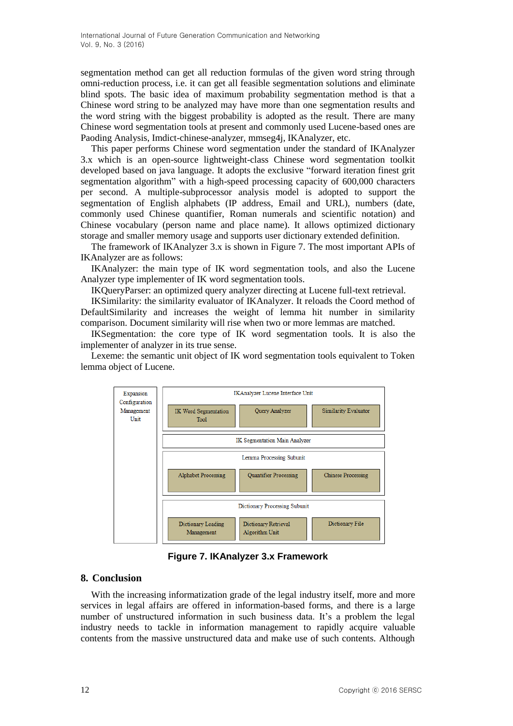segmentation method can get all reduction formulas of the given word string through omni-reduction process, i.e. it can get all feasible segmentation solutions and eliminate blind spots. The basic idea of maximum probability segmentation method is that a Chinese word string to be analyzed may have more than one segmentation results and the word string with the biggest probability is adopted as the result. There are many Chinese word segmentation tools at present and commonly used Lucene-based ones are Paoding Analysis, Imdict-chinese-analyzer, mmseg4j, IKAnalyzer, etc.

This paper performs Chinese word segmentation under the standard of IKAnalyzer 3.x which is an open-source lightweight-class Chinese word segmentation toolkit developed based on java language. It adopts the exclusive "forward iteration finest grit segmentation algorithm" with a high-speed processing capacity of 600,000 characters per second. A multiple-subprocessor analysis model is adopted to support the segmentation of English alphabets (IP address, Email and URL), numbers (date, commonly used Chinese quantifier, Roman numerals and scientific notation) and Chinese vocabulary (person name and place name). It allows optimized dictionary storage and smaller memory usage and supports user dictionary extended definition.

The framework of IKAnalyzer 3.x is shown in Figure 7. The most important APIs of IKAnalyzer are as follows:

IKAnalyzer: the main type of IK word segmentation tools, and also the Lucene Analyzer type implementer of IK word segmentation tools.

IKQueryParser: an optimized query analyzer directing at Lucene full-text retrieval.

IKSimilarity: the similarity evaluator of IKAnalyzer. It reloads the Coord method of DefaultSimilarity and increases the weight of lemma hit number in similarity comparison. Document similarity will rise when two or more lemmas are matched.

IKSegmentation: the core type of IK word segmentation tools. It is also the implementer of analyzer in its true sense.

Lexeme: the semantic unit object of IK word segmentation tools equivalent to Token lemma object of Lucene.



**Figure 7. IKAnalyzer 3.x Framework**

#### **8. Conclusion**

With the increasing informatization grade of the legal industry itself, more and more services in legal affairs are offered in information-based forms, and there is a large number of unstructured information in such business data. It's a problem the legal industry needs to tackle in information management to rapidly acquire valuable contents from the massive unstructured data and make use of such contents. Although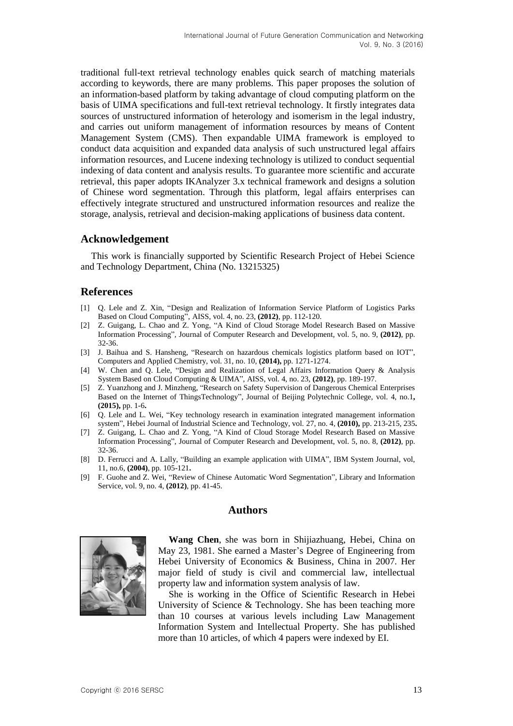traditional full-text retrieval technology enables quick search of matching materials according to keywords, there are many problems. This paper proposes the solution of an information-based platform by taking advantage of cloud computing platform on the basis of UIMA specifications and full-text retrieval technology. It firstly integrates data sources of unstructured information of heterology and isomerism in the legal industry, and carries out uniform management of information resources by means of Content Management System (CMS). Then expandable UIMA framework is employed to conduct data acquisition and expanded data analysis of such unstructured legal affairs information resources, and Lucene indexing technology is utilized to conduct sequential indexing of data content and analysis results. To guarantee more scientific and accurate retrieval, this paper adopts IKAnalyzer 3.x technical framework and designs a solution of Chinese word segmentation. Through this platform, legal affairs enterprises can effectively integrate structured and unstructured information resources and realize the storage, analysis, retrieval and decision-making applications of business data content.

## **Acknowledgement**

This work is financially supported by Scientific Research Project of Hebei Science and Technology Department, China (No. 13215325)

# **References**

- [1] Q. Lele and Z. Xin, "Design and Realization of Information Service Platform of Logistics Parks Based on Cloud Computing", AISS, vol. 4, no. 23, **(2012)**, pp. 112-120.
- [2] Z. Guigang, L. Chao and Z. Yong, "A Kind of Cloud Storage Model Research Based on Massive Information Processing", Journal of Computer Research and Development, vol. 5, no. 9, **(2012)**, pp. 32-36.
- [3] J. Baihua and S. Hansheng, "Research on hazardous chemicals logistics platform based on IOT", Computers and Applied Chemistry, vol. 31, no. 10, **(2014),** pp. 1271-1274.
- [4] W. Chen and Q. Lele, "Design and Realization of Legal Affairs Information Query & Analysis System Based on Cloud Computing & UIMA", AISS, vol. 4, no. 23, **(2012)**, pp. 189-197.
- [5] Z. Yuanzhong and J. Minzheng, "Research on Safety Supervision of Dangerous Chemical Enterprises Based on the Internet of ThingsTechnology", Journal of Beijing Polytechnic College, vol. 4, no.1**, (2015),** pp. 1-6**.**
- [6] Q. Lele and L. Wei, "Key technology research in examination integrated management information system", Hebei Journal of Industrial Science and Technology, vol. 27, no. 4, **(2010),** pp. 213-215, 235**.**
- [7] Z. Guigang, L. Chao and Z. Yong, "A Kind of Cloud Storage Model Research Based on Massive Information Processing", Journal of Computer Research and Development, vol. 5, no. 8, **(2012)**, pp. 32-36.
- [8] D. Ferrucci and A. Lally, "Building an example application with UIMA", IBM System Journal, vol, 11, no.6, **(2004)**, pp. 105-121**.**
- [9] F. Guohe and Z. Wei, "Review of Chinese Automatic Word Segmentation", Library and Information Service, vol. 9, no. 4, **(2012)**, pp. 41-45.

# **Authors**



**Wang Chen**, she was born in Shijiazhuang, Hebei, China on May 23, 1981. She earned a Master's Degree of Engineering from Hebei University of Economics & Business, China in 2007. Her major field of study is civil and commercial law, intellectual property law and information system analysis of law.

She is working in the Office of Scientific Research in Hebei University of Science & Technology. She has been teaching more than 10 courses at various levels including Law Management Information System and Intellectual Property. She has published more than 10 articles, of which 4 papers were indexed by EI.